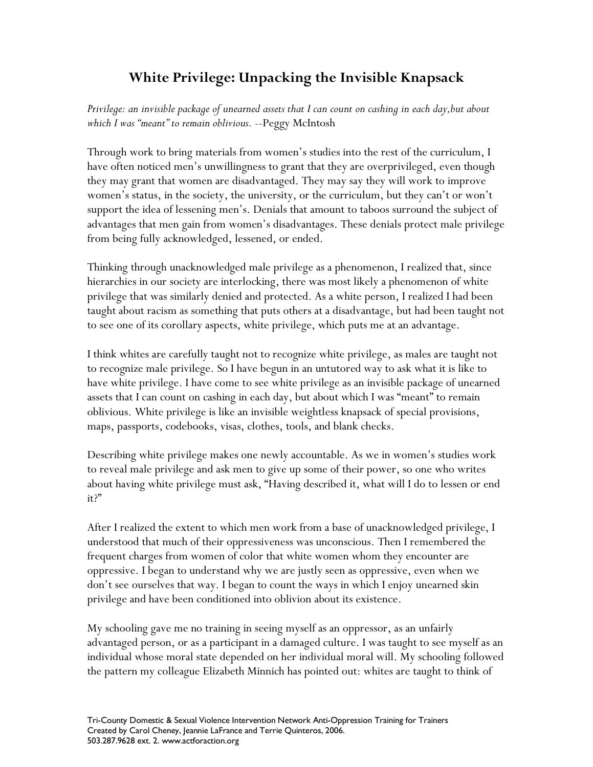## **White Privilege: Unpacking the Invisible Knapsack**

*Privilege: an invisible package of unearned assets that I can count on cashing in each day,but about which I was "meant" to remain oblivious. --*Peggy McIntosh

Through work to bring materials from women's studies into the rest of the curriculum, I have often noticed men's unwillingness to grant that they are overprivileged, even though they may grant that women are disadvantaged. They may say they will work to improve women's status, in the society, the university, or the curriculum, but they can't or won't support the idea of lessening men's. Denials that amount to taboos surround the subject of advantages that men gain from women's disadvantages. These denials protect male privilege from being fully acknowledged, lessened, or ended.

Thinking through unacknowledged male privilege as a phenomenon, I realized that, since hierarchies in our society are interlocking, there was most likely a phenomenon of white privilege that was similarly denied and protected. As a white person, I realized I had been taught about racism as something that puts others at a disadvantage, but had been taught not to see one of its corollary aspects, white privilege, which puts me at an advantage.

I think whites are carefully taught not to recognize white privilege, as males are taught not to recognize male privilege. So I have begun in an untutored way to ask what it is like to have white privilege. I have come to see white privilege as an invisible package of unearned assets that I can count on cashing in each day, but about which I was "meant" to remain oblivious. White privilege is like an invisible weightless knapsack of special provisions, maps, passports, codebooks, visas, clothes, tools, and blank checks.

Describing white privilege makes one newly accountable. As we in women's studies work to reveal male privilege and ask men to give up some of their power, so one who writes about having white privilege must ask, "Having described it, what will I do to lessen or end it?"

After I realized the extent to which men work from a base of unacknowledged privilege, I understood that much of their oppressiveness was unconscious. Then I remembered the frequent charges from women of color that white women whom they encounter are oppressive. I began to understand why we are justly seen as oppressive, even when we don't see ourselves that way. I began to count the ways in which I enjoy unearned skin privilege and have been conditioned into oblivion about its existence.

My schooling gave me no training in seeing myself as an oppressor, as an unfairly advantaged person, or as a participant in a damaged culture. I was taught to see myself as an individual whose moral state depended on her individual moral will. My schooling followed the pattern my colleague Elizabeth Minnich has pointed out: whites are taught to think of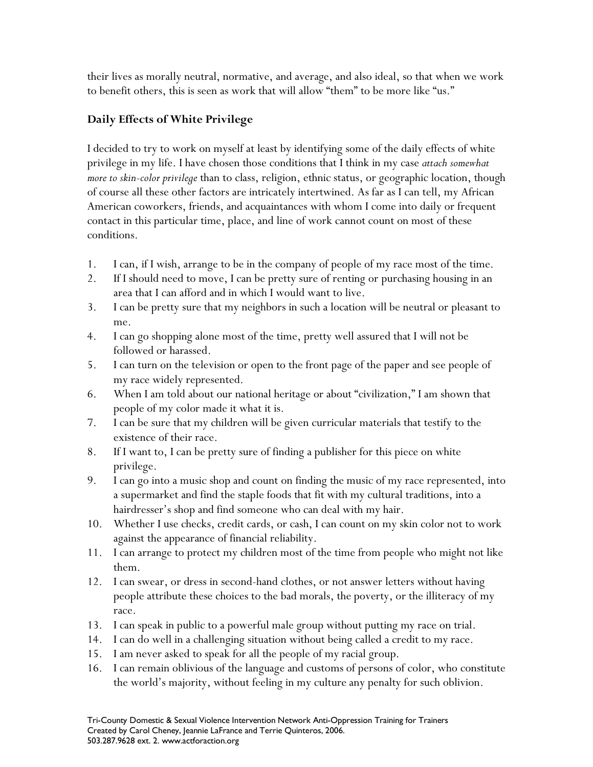their lives as morally neutral, normative, and average, and also ideal, so that when we work to benefit others, this is seen as work that will allow "them" to be more like "us."

## **Daily Effects of White Privilege**

I decided to try to work on myself at least by identifying some of the daily effects of white privilege in my life. I have chosen those conditions that I think in my case *attach somewhat more to skin-color privilege* than to class, religion, ethnic status, or geographic location, though of course all these other factors are intricately intertwined. As far as I can tell, my African American coworkers, friends, and acquaintances with whom I come into daily or frequent contact in this particular time, place, and line of work cannot count on most of these conditions.

- 1. I can, if I wish, arrange to be in the company of people of my race most of the time.
- 2. If I should need to move, I can be pretty sure of renting or purchasing housing in an
- area that I can afford and in which I would want to live.<br>3. I can be pretty sure that my neighbors in such a location will be neutral or pleasant to me.
- 4. I can go shopping alone most of the time, pretty well assured that I will not be
- followed or harassed.<br>5. I can turn on the television or open to the front page of the paper and see people of
- my race widely represented. 6. When I am told about our national heritage or about "civilization," I am shown that people of my color made it what it is.
- 7. I can be sure that my children will be given curricular materials that testify to the existence of their race.
- 8. If I want to, I can be pretty sure of finding a publisher for this piece on white privilege.
- 9. I can go into a music shop and count on finding the music of my race represented, into a supermarket and find the staple foods that fit with my cultural traditions, into a
- hairdresser's shop and find someone who can deal with my hair.<br>10. Whether I use checks, credit cards, or cash, I can count on my skin color not to work
- against the appearance of financial reliability. 11. I can arrange to protect my children most of the time from people who might not like them.
- 12. I can swear, or dress in second-hand clothes, or not answer letters without having people attribute these choices to the bad morals, the poverty, or the illiteracy of my race.
- 
- 13. I can speak in public to a powerful male group without putting my race on trial. 14. I can do well in a challenging situation without being called a credit to my race.
- 15. I am never asked to speak for all the people of my racial group.
- 16. I can remain oblivious of the language and customs of persons of color, who constitute the world's majority, without feeling in my culture any penalty for such oblivion.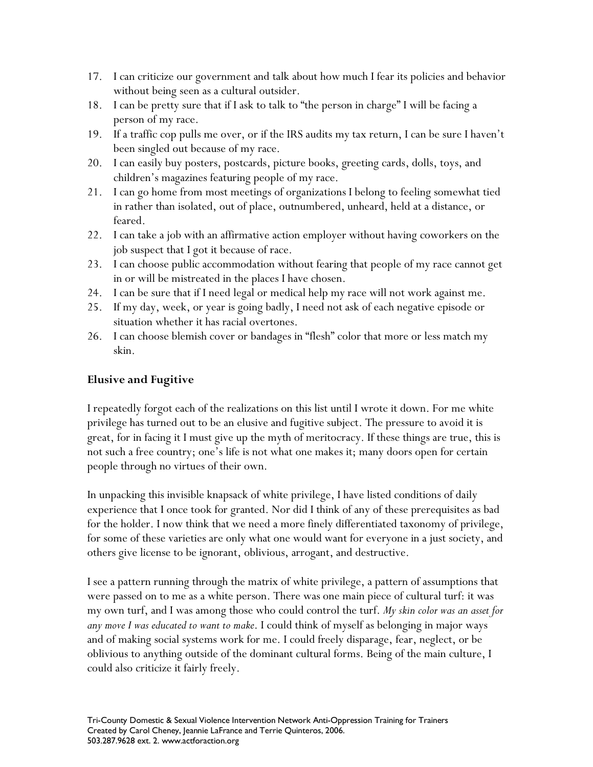- 17. I can criticize our government and talk about how much I fear its policies and behavior
- without being seen as a cultural outsider.<br>18. I can be pretty sure that if I ask to talk to "the person in charge" I will be facing a person of my race.
- 19. If a traffic cop pulls me over, or if the IRS audits my tax return, I can be sure I haven't been singled out because of my race.
- 20. I can easily buy posters, postcards, picture books, greeting cards, dolls, toys, and children's magazines featuring people of my race.
- 21. I can go home from most meetings of organizations I belong to feeling somewhat tied in rather than isolated, out of place, outnumbered, unheard, held at a distance, or
- feared. 22. I can take a job with an affirmative action employer without having coworkers on the job suspect that I got it because of race.
- 23. I can choose public accommodation without fearing that people of my race cannot get
- in or will be mistreated in the places I have chosen. 24. I can be sure that if I need legal or medical help my race will not work against me.
- 25. If my day, week, or year is going badly, I need not ask of each negative episode or situation whether it has racial overtones.
- 26. I can choose blemish cover or bandages in "flesh" color that more or less match my skin.

## **Elusive and Fugitive**

I repeatedly forgot each of the realizations on this list until I wrote it down. For me white privilege has turned out to be an elusive and fugitive subject. The pressure to avoid it is great, for in facing it I must give up the myth of meritocracy. If these things are true, this is not such a free country; one's life is not what one makes it; many doors open for certain people through no virtues of their own.

In unpacking this invisible knapsack of white privilege, I have listed conditions of daily experience that I once took for granted. Nor did I think of any of these prerequisites as bad for the holder. I now think that we need a more finely differentiated taxonomy of privilege, for some of these varieties are only what one would want for everyone in a just society, and others give license to be ignorant, oblivious, arrogant, and destructive.

I see a pattern running through the matrix of white privilege, a pattern of assumptions that were passed on to me as a white person. There was one main piece of cultural turf: it was my own turf, and I was among those who could control the turf. *My skin color was an asset for any move I was educated to want to make*. I could think of myself as belonging in major ways and of making social systems work for me. I could freely disparage, fear, neglect, or be oblivious to anything outside of the dominant cultural forms. Being of the main culture, I could also criticize it fairly freely.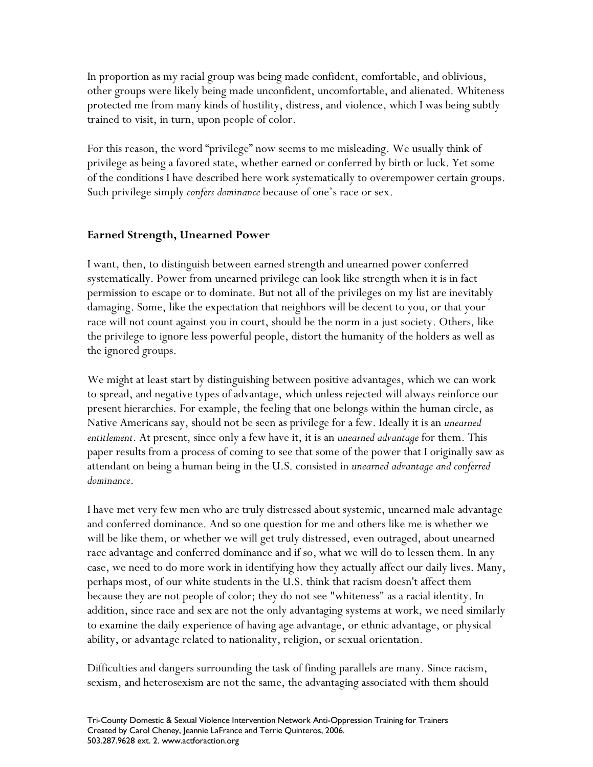In proportion as my racial group was being made confident, comfortable, and oblivious, other groups were likely being made unconfident, uncomfortable, and alienated. Whiteness protected me from many kinds of hostility, distress, and violence, which I was being subtly trained to visit, in turn, upon people of color.

For this reason, the word "privilege" now seems to me misleading. We usually think of privilege as being a favored state, whether earned or conferred by birth or luck. Yet some of the conditions I have described here work systematically to overempower certain groups. Such privilege simply *confers dominance* because of one's race or sex.

## **Earned Strength, Unearned Power**

I want, then, to distinguish between earned strength and unearned power conferred systematically. Power from unearned privilege can look like strength when it is in fact permission to escape or to dominate. But not all of the privileges on my list are inevitably damaging. Some, like the expectation that neighbors will be decent to you, or that your race will not count against you in court, should be the norm in a just society. Others, like the privilege to ignore less powerful people, distort the humanity of the holders as well as

the ignored groups.<br>We might at least start by distinguishing between positive advantages, which we can work to spread, and negative types of advantage, which unless rejected will always reinforce our present hierarchies. For example, the feeling that one belongs within the human circle, as Native Americans say, should not be seen as privilege for a few. Ideally it is an *unearned entitlement*. At present, since only a few have it, it is an *unearned advantage* for them. This paper results from a process of coming to see that some of the power that I originally saw as attendant on being a human being in the U.S. consisted in *unearned advantage and conferred dominance*.

I have met very few men who are truly distressed about systemic, unearned male advantage and conferred dominance. And so one question for me and others like me is whether we will be like them, or whether we will get truly distressed, even outraged, about unearned race advantage and conferred dominance and if so, what we will do to lessen them. In any case, we need to do more work in identifying how they actually affect our daily lives. Many, perhaps most, of our white students in the U.S. think that racism doesn't affect them because they are not people of color; they do not see "whiteness" as a racial identity. In addition, since race and sex are not the only advantaging systems at work, we need similarly to examine the daily experience of having age advantage, or ethnic advantage, or physical ability, or advantage related to nationality, religion, or sexual orientation.

Difficulties and dangers surrounding the task of finding parallels are many. Since racism, sexism, and heterosexism are not the same, the advantaging associated with them should